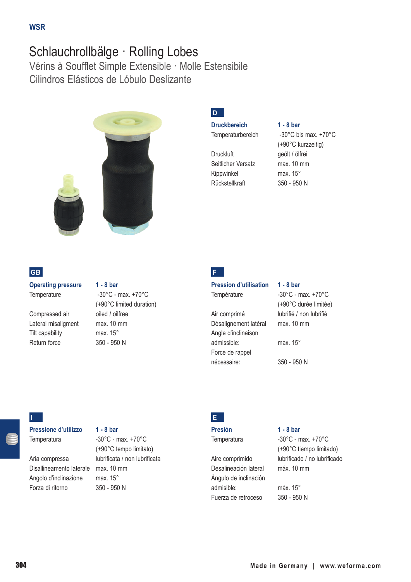# Schlauchrollbälge · Rolling Lobes

Vérins à Soufflet Simple Extensible · Molle Estensibile Cilindros Elásticos de Lóbulo Deslizante



# **GB**

**Operating pressure 1 - 8 bar** Temperature -30°C - max. +70°C

Compressed air oiled / oilfree Lateral misaligment max. 10 mm Tilt capability max. 15° Return force 350 - 950 N

(+90°C limited duration)

# **D**

**Druckbereich 1 - 8 bar**

Druckluft geölt / ölfrei Seitlicher Versatz max. 10 mm Kippwinkel max. 15° Rückstellkraft 350 - 950 N

Temperaturbereich -30°C bis max. +70°C (+90°C kurzzeitig)

**F**

## **Pression d'utilisation 1 - 8 bar** Température -30°C - max. +70°C (+90°C durée limitée) Air comprimé lubrifié / non lubrifié Désalignement latéral max. 10 mm Angle d'inclinaison admissible: max. 15° Force de rappel nécessaire: 350 - 950 N

# **I**

**Pressione d'utilizzo 1 - 8 bar**

Disallineamento laterale max. 10 mm Angolo d'inclinazione max. 15° Forza di ritorno 350 - 950 N

Temperatura -30°C - max. +70°C (+90°C tempo limitato) Aria compressa lubrificata / non lubrificata



**Presión 1 - 8 bar**

Desalineación lateral máx. 10 mm Ángulo de inclinación admisible: máx. 15° Fuerza de retroceso 350 - 950 N

Temperatura -30°C - max. +70°C (+90°C tiempo limitado) Aire comprimido lubrificado / no lubrificado